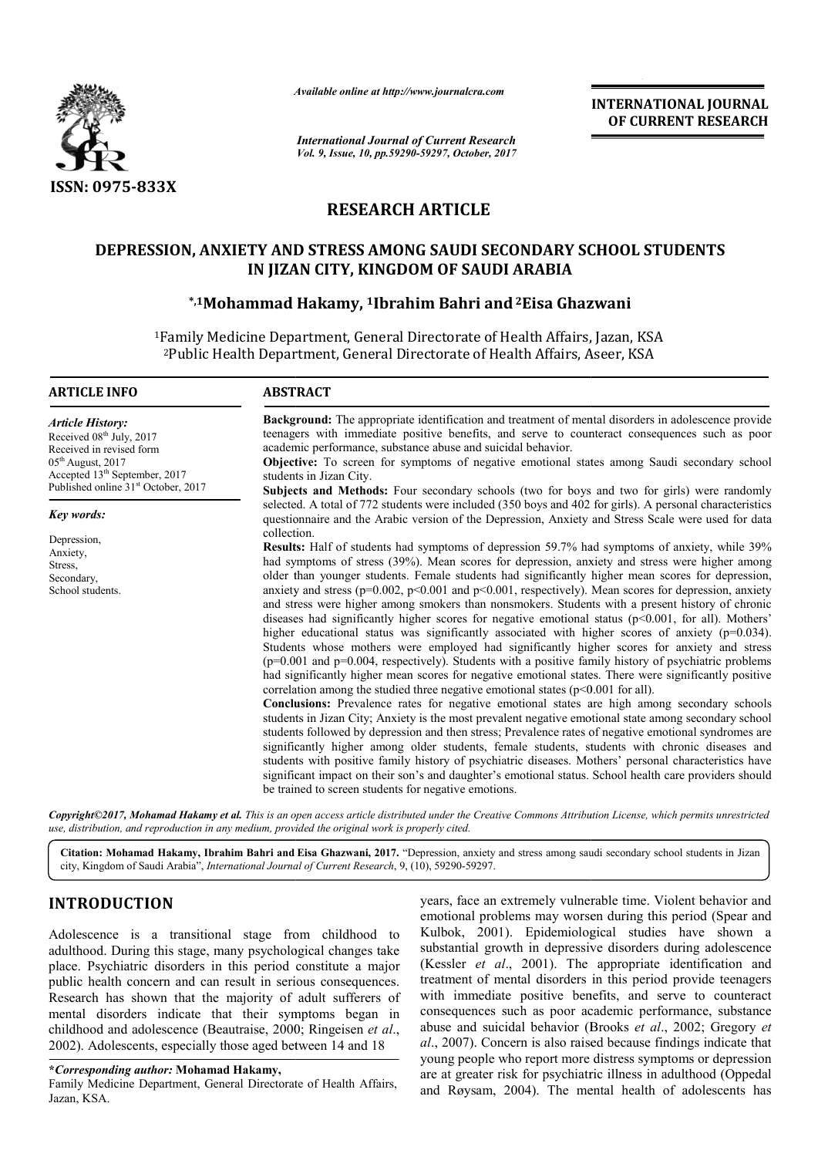

*Available online at http://www.journal http://www.journalcra.com*

# **RESEARCH ARTICLE**

# DEPRESSION, ANXIETY AND STRESS AMONG SAUDI SECONDARY SCHOOL STUDENTS<br>IN JIZAN CITY, KINGDOM OF SAUDI ARABIA<br><sup>5,1</sup>Mohammad Hakamy, <sup>1</sup>lbrahim Bahri and<sup>2</sup>Eisa Ghazwani **IN JIZAN CITY, KINGDOM OF SAUDI ARABIA**

## **\*,1Mohammad Hakamy, ad 1Ibrahim Bahri and2Eisa Ghazwani**

|                                                                                                                                                                                                                                                                                                                                                                                                                                                                                                                                                                                     | unuvic vinine ui nup.//www.jvurnuicru.com<br><b>International Journal of Current Research</b>                                                                                          | <b>INTERNATIONAL JOURNAL</b><br>OF CURRENT RESEARCH                                                                                                                                                                                                                                                                                                                                                                                                                                                                                                                                                                                                                                                                                                                                                                                                                                                                                                                                                                                                                                                                                                                                                                                                                                                                                                                                                                                                                                                                                                                                                                                                                                            |
|-------------------------------------------------------------------------------------------------------------------------------------------------------------------------------------------------------------------------------------------------------------------------------------------------------------------------------------------------------------------------------------------------------------------------------------------------------------------------------------------------------------------------------------------------------------------------------------|----------------------------------------------------------------------------------------------------------------------------------------------------------------------------------------|------------------------------------------------------------------------------------------------------------------------------------------------------------------------------------------------------------------------------------------------------------------------------------------------------------------------------------------------------------------------------------------------------------------------------------------------------------------------------------------------------------------------------------------------------------------------------------------------------------------------------------------------------------------------------------------------------------------------------------------------------------------------------------------------------------------------------------------------------------------------------------------------------------------------------------------------------------------------------------------------------------------------------------------------------------------------------------------------------------------------------------------------------------------------------------------------------------------------------------------------------------------------------------------------------------------------------------------------------------------------------------------------------------------------------------------------------------------------------------------------------------------------------------------------------------------------------------------------------------------------------------------------------------------------------------------------|
|                                                                                                                                                                                                                                                                                                                                                                                                                                                                                                                                                                                     | Vol. 9, Issue, 10, pp.59290-59297, October, 2017                                                                                                                                       |                                                                                                                                                                                                                                                                                                                                                                                                                                                                                                                                                                                                                                                                                                                                                                                                                                                                                                                                                                                                                                                                                                                                                                                                                                                                                                                                                                                                                                                                                                                                                                                                                                                                                                |
| <b>ISSN: 0975-833X</b>                                                                                                                                                                                                                                                                                                                                                                                                                                                                                                                                                              |                                                                                                                                                                                        |                                                                                                                                                                                                                                                                                                                                                                                                                                                                                                                                                                                                                                                                                                                                                                                                                                                                                                                                                                                                                                                                                                                                                                                                                                                                                                                                                                                                                                                                                                                                                                                                                                                                                                |
|                                                                                                                                                                                                                                                                                                                                                                                                                                                                                                                                                                                     | <b>RESEARCH ARTICLE</b>                                                                                                                                                                |                                                                                                                                                                                                                                                                                                                                                                                                                                                                                                                                                                                                                                                                                                                                                                                                                                                                                                                                                                                                                                                                                                                                                                                                                                                                                                                                                                                                                                                                                                                                                                                                                                                                                                |
|                                                                                                                                                                                                                                                                                                                                                                                                                                                                                                                                                                                     | DEPRESSION, ANXIETY AND STRESS AMONG SAUDI SECONDARY SCHOOL STUDENTS<br>IN JIZAN CITY, KINGDOM OF SAUDI ARABIA                                                                         |                                                                                                                                                                                                                                                                                                                                                                                                                                                                                                                                                                                                                                                                                                                                                                                                                                                                                                                                                                                                                                                                                                                                                                                                                                                                                                                                                                                                                                                                                                                                                                                                                                                                                                |
|                                                                                                                                                                                                                                                                                                                                                                                                                                                                                                                                                                                     | *,1Mohammad Hakamy, 1Ibrahim Bahri and <sup>2</sup> Eisa Ghazwani                                                                                                                      |                                                                                                                                                                                                                                                                                                                                                                                                                                                                                                                                                                                                                                                                                                                                                                                                                                                                                                                                                                                                                                                                                                                                                                                                                                                                                                                                                                                                                                                                                                                                                                                                                                                                                                |
|                                                                                                                                                                                                                                                                                                                                                                                                                                                                                                                                                                                     | <sup>1</sup> Family Medicine Department, General Directorate of Health Affairs, Jazan, KSA<br><sup>2</sup> Public Health Department, General Directorate of Health Affairs, Aseer, KSA |                                                                                                                                                                                                                                                                                                                                                                                                                                                                                                                                                                                                                                                                                                                                                                                                                                                                                                                                                                                                                                                                                                                                                                                                                                                                                                                                                                                                                                                                                                                                                                                                                                                                                                |
| <b>ARTICLE INFO</b>                                                                                                                                                                                                                                                                                                                                                                                                                                                                                                                                                                 | <b>ABSTRACT</b>                                                                                                                                                                        |                                                                                                                                                                                                                                                                                                                                                                                                                                                                                                                                                                                                                                                                                                                                                                                                                                                                                                                                                                                                                                                                                                                                                                                                                                                                                                                                                                                                                                                                                                                                                                                                                                                                                                |
| Article History:<br>Received 08 <sup>th</sup> July, 2017<br>Received in revised form<br>$05th$ August, 2017<br>Accepted 13 <sup>th</sup> September, 2017<br>Published online 31 <sup>st</sup> October, 2017                                                                                                                                                                                                                                                                                                                                                                         | academic performance, substance abuse and suicidal behavior.<br>students in Jizan City.                                                                                                | Background: The appropriate identification and treatment of mental disorders in adolescence provide<br>teenagers with immediate positive benefits, and serve to counteract consequences such as poor<br>Objective: To screen for symptoms of negative emotional states among Saudi secondary school<br>Subjects and Methods: Four secondary schools (two for boys and two for girls) were randomly                                                                                                                                                                                                                                                                                                                                                                                                                                                                                                                                                                                                                                                                                                                                                                                                                                                                                                                                                                                                                                                                                                                                                                                                                                                                                             |
| Key words:                                                                                                                                                                                                                                                                                                                                                                                                                                                                                                                                                                          |                                                                                                                                                                                        | selected. A total of 772 students were included (350 boys and 402 for girls). A personal characteristics<br>questionnaire and the Arabic version of the Depression, Anxiety and Stress Scale were used for data                                                                                                                                                                                                                                                                                                                                                                                                                                                                                                                                                                                                                                                                                                                                                                                                                                                                                                                                                                                                                                                                                                                                                                                                                                                                                                                                                                                                                                                                                |
| Depression,<br>Anxiety,<br>Stress,<br>Secondary,<br>School students.                                                                                                                                                                                                                                                                                                                                                                                                                                                                                                                | collection.<br>correlation among the studied three negative emotional states ( $p<0.001$ for all).<br>be trained to screen students for negative emotions.                             | Results: Half of students had symptoms of depression 59.7% had symptoms of anxiety, while 39%<br>had symptoms of stress (39%). Mean scores for depression, anxiety and stress were higher among<br>older than younger students. Female students had significantly higher mean scores for depression,<br>anxiety and stress ( $p=0.002$ , $p<0.001$ and $p<0.001$ , respectively). Mean scores for depression, anxiety<br>and stress were higher among smokers than nonsmokers. Students with a present history of chronic<br>diseases had significantly higher scores for negative emotional status (p<0.001, for all). Mothers'<br>higher educational status was significantly associated with higher scores of anxiety ( $p=0.034$ ).<br>Students whose mothers were employed had significantly higher scores for anxiety and stress<br>(p=0.001 and p=0.004, respectively). Students with a positive family history of psychiatric problems<br>had significantly higher mean scores for negative emotional states. There were significantly positive<br>Conclusions: Prevalence rates for negative emotional states are high among secondary schools<br>students in Jizan City; Anxiety is the most prevalent negative emotional state among secondary school<br>students followed by depression and then stress; Prevalence rates of negative emotional syndromes are<br>significantly higher among older students, female students, students with chronic diseases and<br>students with positive family history of psychiatric diseases. Mothers' personal characteristics have<br>significant impact on their son's and daughter's emotional status. School health care providers should |
| use, distribution, and reproduction in any medium, provided the original work is properly cited.                                                                                                                                                                                                                                                                                                                                                                                                                                                                                    |                                                                                                                                                                                        | Copyright©2017, Mohamad Hakamy et al. This is an open access article distributed under the Creative Commons Attribution License, which permits unrestricted                                                                                                                                                                                                                                                                                                                                                                                                                                                                                                                                                                                                                                                                                                                                                                                                                                                                                                                                                                                                                                                                                                                                                                                                                                                                                                                                                                                                                                                                                                                                    |
|                                                                                                                                                                                                                                                                                                                                                                                                                                                                                                                                                                                     | city, Kingdom of Saudi Arabia", International Journal of Current Research, 9, (10), 59290-59297.                                                                                       | Citation: Mohamad Hakamy, Ibrahim Bahri and Eisa Ghazwani, 2017. "Depression, anxiety and stress among saudi secondary school students in Jizan                                                                                                                                                                                                                                                                                                                                                                                                                                                                                                                                                                                                                                                                                                                                                                                                                                                                                                                                                                                                                                                                                                                                                                                                                                                                                                                                                                                                                                                                                                                                                |
| <b>INTRODUCTION</b><br>Adolescence is a transitional stage from childhood to<br>adulthood. During this stage, many psychological changes take<br>place. Psychiatric disorders in this period constitute a major<br>public health concern and can result in serious consequences.<br>Research has shown that the majority of adult sufferers of<br>mental disorders indicate that their symptoms began in<br>childhood and adolescence (Beautraise, 2000; Ringeisen et al.,<br>2002). Adolescents, especially those aged between 14 and 18<br>*Corresponding author: Mohamad Hakamy, |                                                                                                                                                                                        | years, face an extremely vulnerable time. Violent behavior and<br>emotional problems may worsen during this period (Spear and<br>Kulbok, 2001). Epidemiological studies have shown a<br>substantial growth in depressive disorders during adolescence<br>(Kessler et al., 2001). The appropriate identification and<br>treatment of mental disorders in this period provide teenagers<br>with immediate positive benefits, and serve to counteract<br>consequences such as poor academic performance, substance<br>abuse and suicidal behavior (Brooks et al., 2002; Gregory et<br>al., 2007). Concern is also raised because findings indicate that<br>young people who report more distress symptoms or depression<br>are at greater risk for psychiatric illness in adulthood (Oppedal                                                                                                                                                                                                                                                                                                                                                                                                                                                                                                                                                                                                                                                                                                                                                                                                                                                                                                      |
| Family Medicine Department, General Directorate of Health Affairs,                                                                                                                                                                                                                                                                                                                                                                                                                                                                                                                  |                                                                                                                                                                                        | and Røysam, 2004). The mental health of adolescents has                                                                                                                                                                                                                                                                                                                                                                                                                                                                                                                                                                                                                                                                                                                                                                                                                                                                                                                                                                                                                                                                                                                                                                                                                                                                                                                                                                                                                                                                                                                                                                                                                                        |

# **INTRODUCTION**

### **\****Corresponding author:* **Mohamad Hakamy,**

Family Medicine Department, General Directorate of Health Affairs, Jazan, KSA.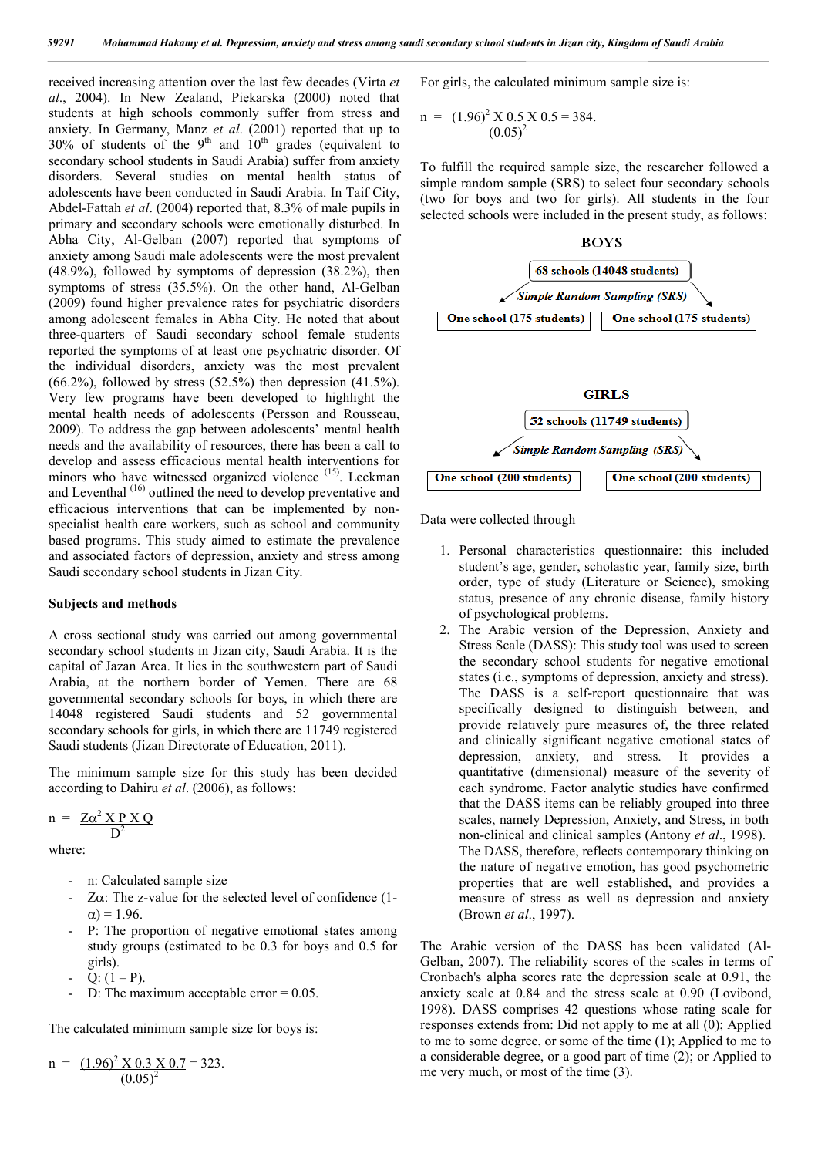received increasing attention over the last few decades (Virta *et al*., 2004). In New Zealand, Piekarska (2000) noted that students at high schools commonly suffer from stress and anxiety. In Germany, Manz *et al*. (2001) reported that up to  $30\%$  of students of the 9<sup>th</sup> and  $10^{th}$  grades (equivalent to secondary school students in Saudi Arabia) suffer from anxiety disorders. Several studies on mental health status of adolescents have been conducted in Saudi Arabia. In Taif City, Abdel-Fattah *et al*. (2004) reported that, 8.3% of male pupils in primary and secondary schools were emotionally disturbed. In Abha City, Al-Gelban (2007) reported that symptoms of anxiety among Saudi male adolescents were the most prevalent (48.9%), followed by symptoms of depression (38.2%), then symptoms of stress (35.5%). On the other hand, Al-Gelban (2009) found higher prevalence rates for psychiatric disorders among adolescent females in Abha City. He noted that about three-quarters of Saudi secondary school female students reported the symptoms of at least one psychiatric disorder. Of the individual disorders, anxiety was the most prevalent  $(66.2\%)$ , followed by stress  $(52.5\%)$  then depression  $(41.5\%)$ . Very few programs have been developed to highlight the mental health needs of adolescents (Persson and Rousseau, 2009). To address the gap between adolescents' mental health needs and the availability of resources, there has been a call to develop and assess efficacious mental health interventions for minors who have witnessed organized violence (15). Leckman and Leventhal (16) outlined the need to develop preventative and efficacious interventions that can be implemented by nonspecialist health care workers, such as school and community based programs. This study aimed to estimate the prevalence and associated factors of depression, anxiety and stress among Saudi secondary school students in Jizan City.

#### **Subjects and methods**

A cross sectional study was carried out among governmental secondary school students in Jizan city, Saudi Arabia. It is the capital of Jazan Area. It lies in the southwestern part of Saudi Arabia, at the northern border of Yemen. There are 68 governmental secondary schools for boys, in which there are 14048 registered Saudi students and 52 governmental secondary schools for girls, in which there are 11749 registered Saudi students (Jizan Directorate of Education, 2011).

The minimum sample size for this study has been decided according to Dahiru *et al*. (2006), as follows:

$$
n = \frac{Z\alpha^2 \times P \times Q}{D^2}
$$

where:

- n: Calculated sample size
- $Z\alpha$ : The z-value for the selected level of confidence (1- $\alpha$ ) = 1.96.
- P: The proportion of negative emotional states among study groups (estimated to be 0.3 for boys and 0.5 for girls).
- $Q: (1 P)$ .
- D: The maximum acceptable error  $= 0.05$ .

The calculated minimum sample size for boys is:

$$
n = \frac{(1.96)^2 \times 0.3 \times 0.7}{(0.05)^2} = 323.
$$

For girls, the calculated minimum sample size is:

n = 
$$
\frac{(1.96)^2 \times 0.5 \times 0.5}{(0.05)^2} = 384.
$$

To fulfill the required sample size, the researcher followed a simple random sample (SRS) to select four secondary schools (two for boys and two for girls). All students in the four selected schools were included in the present study, as follows:



Data were collected through

- 1. Personal characteristics questionnaire: this included student's age, gender, scholastic year, family size, birth order, type of study (Literature or Science), smoking status, presence of any chronic disease, family history of psychological problems.
- 2. The Arabic version of the Depression, Anxiety and Stress Scale (DASS): This study tool was used to screen the secondary school students for negative emotional states (i.e., symptoms of depression, anxiety and stress). The DASS is a self-report questionnaire that was specifically designed to distinguish between, and provide relatively pure measures of, the three related and clinically significant negative emotional states of depression, anxiety, and stress. It provides a quantitative (dimensional) measure of the severity of each syndrome. Factor analytic studies have confirmed that the DASS items can be reliably grouped into three scales, namely Depression, Anxiety, and Stress, in both non-clinical and clinical samples (Antony *et al*., 1998). The DASS, therefore, reflects contemporary thinking on the nature of negative emotion, has good psychometric properties that are well established, and provides a measure of stress as well as depression and anxiety (Brown *et al*., 1997).

The Arabic version of the DASS has been validated (Al-Gelban, 2007). The reliability scores of the scales in terms of Cronbach's alpha scores rate the depression scale at 0.91, the anxiety scale at 0.84 and the stress scale at 0.90 (Lovibond, 1998). DASS comprises 42 questions whose rating scale for responses extends from: Did not apply to me at all (0); Applied to me to some degree, or some of the time (1); Applied to me to a considerable degree, or a good part of time (2); or Applied to me very much, or most of the time (3).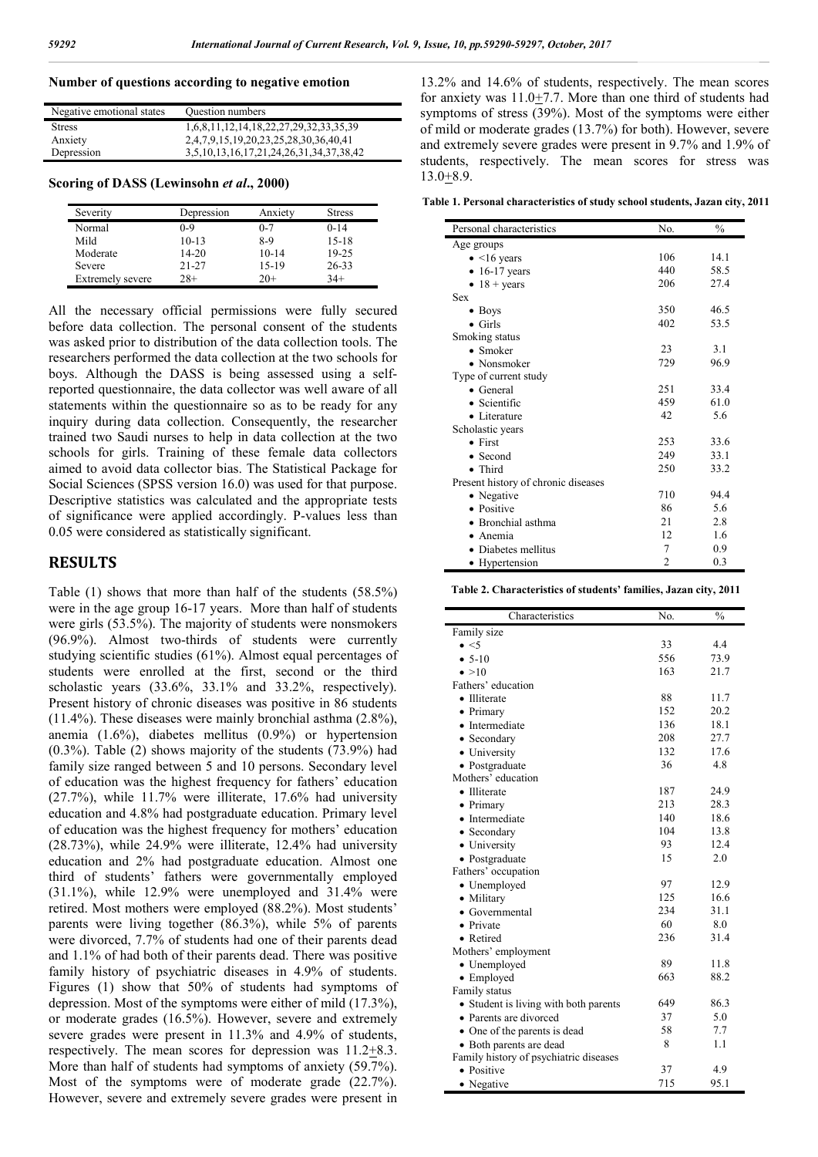## **Number of questions according to negative emotion**

| Negative emotional states | Question numbers                        |
|---------------------------|-----------------------------------------|
| <b>Stress</b>             | 1,6,8,11,12,14,18,22,27,29,32,33,35,39  |
| Anxiety                   | 2,4,7,9,15,19,20,23,25,28,30,36,40,41   |
| Depression                | 3,5,10,13,16,17,21,24,26,31,34,37,38,42 |

**Scoring of DASS (Lewinsohn** *et al***., 2000)**

| Severity         | Depression | Anxiety | <b>Stress</b> |
|------------------|------------|---------|---------------|
| Normal           | 0-9        | $0 - 7$ | $0 - 14$      |
| Mild             | $10-13$    | 8-9     | $15 - 18$     |
| Moderate         | $14 - 20$  | $10-14$ | 19-25         |
| Severe           | $21 - 27$  | 15-19   | 26-33         |
| Extremely severe | $28+$      | $20+$   | $34+$         |

All the necessary official permissions were fully secured before data collection. The personal consent of the students was asked prior to distribution of the data collection tools. The researchers performed the data collection at the two schools for boys. Although the DASS is being assessed using a selfreported questionnaire, the data collector was well aware of all statements within the questionnaire so as to be ready for any inquiry during data collection. Consequently, the researcher trained two Saudi nurses to help in data collection at the two schools for girls. Training of these female data collectors aimed to avoid data collector bias. The Statistical Package for Social Sciences (SPSS version 16.0) was used for that purpose. Descriptive statistics was calculated and the appropriate tests of significance were applied accordingly. P-values less than 0.05 were considered as statistically significant.

## **RESULTS**

Table (1) shows that more than half of the students (58.5%) were in the age group 16-17 years. More than half of students were girls (53.5%). The majority of students were nonsmokers (96.9%). Almost two-thirds of students were currently studying scientific studies (61%). Almost equal percentages of students were enrolled at the first, second or the third scholastic years (33.6%, 33.1% and 33.2%, respectively). Present history of chronic diseases was positive in 86 students (11.4%). These diseases were mainly bronchial asthma (2.8%), anemia (1.6%), diabetes mellitus (0.9%) or hypertension (0.3%). Table (2) shows majority of the students (73.9%) had family size ranged between 5 and 10 persons. Secondary level of education was the highest frequency for fathers' education (27.7%), while 11.7% were illiterate, 17.6% had university education and 4.8% had postgraduate education. Primary level of education was the highest frequency for mothers' education (28.73%), while 24.9% were illiterate, 12.4% had university education and 2% had postgraduate education. Almost one third of students' fathers were governmentally employed (31.1%), while 12.9% were unemployed and 31.4% were retired. Most mothers were employed (88.2%). Most students' parents were living together (86.3%), while 5% of parents were divorced, 7.7% of students had one of their parents dead and 1.1% of had both of their parents dead. There was positive family history of psychiatric diseases in 4.9% of students. Figures (1) show that 50% of students had symptoms of depression. Most of the symptoms were either of mild (17.3%), or moderate grades (16.5%). However, severe and extremely severe grades were present in 11.3% and 4.9% of students, respectively. The mean scores for depression was 11.2+8.3. More than half of students had symptoms of anxiety (59.7%). Most of the symptoms were of moderate grade (22.7%). However, severe and extremely severe grades were present in

13.2% and 14.6% of students, respectively. The mean scores for anxiety was 11.0+7.7. More than one third of students had symptoms of stress (39%). Most of the symptoms were either of mild or moderate grades (13.7%) for both). However, severe and extremely severe grades were present in 9.7% and 1.9% of students, respectively. The mean scores for stress was 13.0+8.9.

**Table 1. Personal characteristics of study school students, Jazan city, 2011**

| Personal characteristics            | No. | $\frac{0}{0}$ |
|-------------------------------------|-----|---------------|
|                                     |     |               |
| Age groups                          |     |               |
| $\bullet$ <16 years                 | 106 | 14.1          |
| $\bullet$ 16-17 years               | 440 | 58.5          |
| $\bullet$ 18 + years                | 206 | 27.4          |
| <b>Sex</b>                          |     |               |
| $\bullet$ Boys                      | 350 | 46.5          |
| $\bullet$ Girls                     | 402 | 53.5          |
| Smoking status                      |     |               |
| $\bullet$ Smoker                    | 23  | 3.1           |
| $\bullet$ Nonsmoker                 | 729 | 96.9          |
| Type of current study               |     |               |
| $\bullet$ General                   | 251 | 33.4          |
| • Scientific                        | 459 | 61.0          |
| • Literature                        | 42  | 5.6           |
| Scholastic years                    |     |               |
| $\bullet$ First                     | 253 | 33.6          |
| $\bullet$ Second                    | 249 | 33.1          |
| • Third                             | 250 | 33.2          |
| Present history of chronic diseases |     |               |
| • Negative                          | 710 | 94.4          |
| • Positive                          | 86  | 5.6           |
| • Bronchial asthma                  | 21  | 2.8           |
| • Anemia                            | 12  | 1.6           |
| Diabetes mellitus                   | 7   | 0.9           |
|                                     | 2   | 0.3           |
| • Hypertension                      |     |               |

| Table 2. Characteristics of students' families, Jazan city, 2011 |  |  |  |
|------------------------------------------------------------------|--|--|--|
|------------------------------------------------------------------|--|--|--|

| Characteristics                        | No. | $\frac{0}{0}$ |
|----------------------------------------|-----|---------------|
| Family size                            |     |               |
| $\bullet$ <5                           | 33  | 4.4           |
| $• 5-10$                               | 556 | 73.9          |
| $\bullet > 10$                         | 163 | 21.7          |
| Fathers' education                     |     |               |
| • Illiterate                           | 88  | 11.7          |
| • Primary                              | 152 | 20.2          |
| • Intermediate                         | 136 | 18.1          |
| • Secondary                            | 208 | 27.7          |
| • University                           | 132 | 17.6          |
| • Postgraduate                         | 36  | 4.8           |
| Mothers' education                     |     |               |
| • Illiterate                           | 187 | 24.9          |
| • Primary                              | 213 | 28.3          |
| • Intermediate                         | 140 | 18.6          |
| • Secondary                            | 104 | 13.8          |
| • University                           | 93  | 12.4          |
| • Postgraduate                         | 15  | 2.0           |
| Fathers' occupation                    |     |               |
| • Unemployed                           | 97  | 12.9          |
| • Military                             | 125 | 16.6          |
| • Governmental                         | 234 | 31.1          |
| • Private                              | 60  | 8.0           |
| • Retired                              | 236 | 31.4          |
| Mothers' employment                    |     |               |
| • Unemployed                           | 89  | 11.8          |
| • Employed                             | 663 | 88.2          |
| Family status                          |     |               |
| • Student is living with both parents  | 649 | 86.3          |
| • Parents are divorced                 | 37  | 5.0           |
| • One of the parents is dead           | 58  | 7.7           |
| • Both parents are dead                | 8   | 1.1           |
| Family history of psychiatric diseases |     |               |
| • Positive                             | 37  | 4.9           |
| • Negative                             | 715 | 95.1          |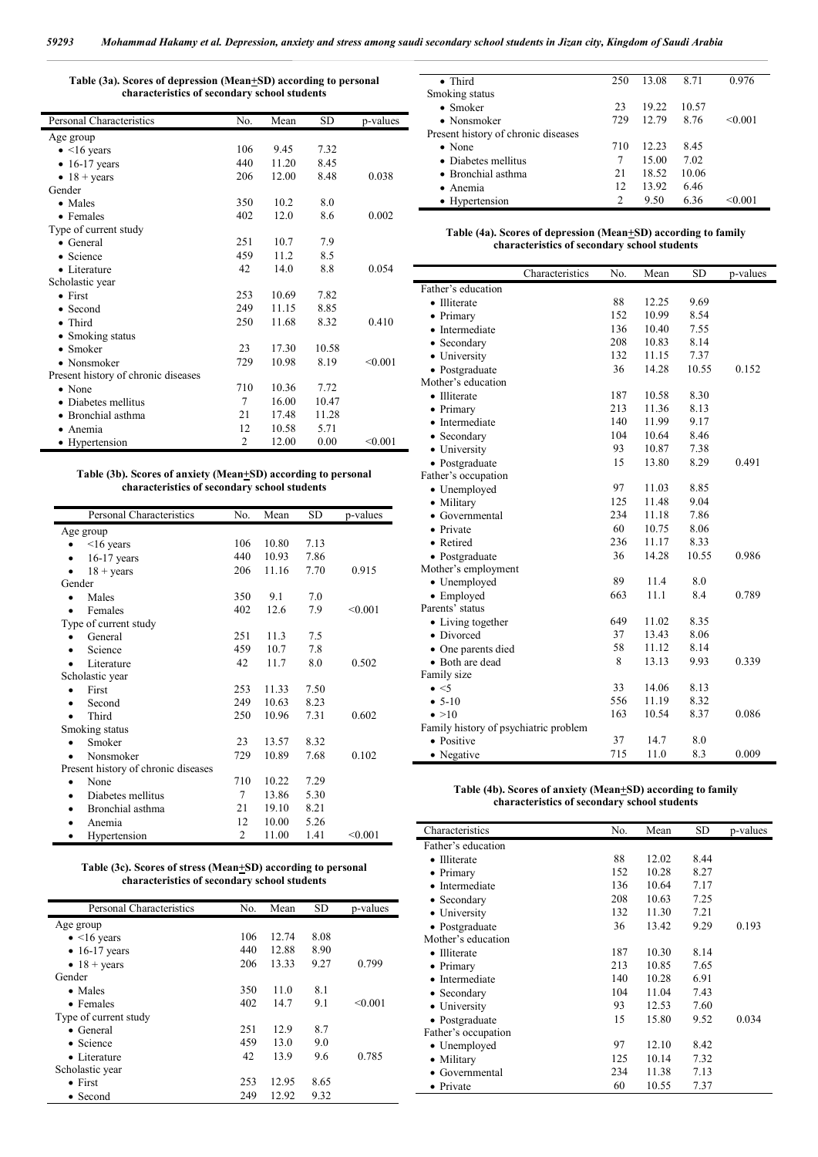| Table (3a). Scores of depression (Mean+SD) according to personal |  |
|------------------------------------------------------------------|--|
| characteristics of secondary school students                     |  |

|                |       |       | p-values  |
|----------------|-------|-------|-----------|
|                |       |       |           |
| 106            | 9.45  | 7.32  |           |
| 440            | 11.20 | 8.45  |           |
| 206            | 12.00 | 8.48  | 0.038     |
|                |       |       |           |
| 350            | 10.2  | 8.0   |           |
| 402            | 12.0  | 8.6   | 0.002     |
|                |       |       |           |
| 251            | 10.7  | 7.9   |           |
| 459            | 11.2  | 8.5   |           |
| 42             | 14.0  | 8.8   | 0.054     |
|                |       |       |           |
| 253            | 10.69 | 7.82  |           |
| 249            | 11.15 | 8.85  |           |
| 250            | 11.68 | 8.32  | 0.410     |
|                |       |       |           |
| 23             | 17.30 | 10.58 |           |
| 729            | 10.98 | 8.19  | < 0.001   |
|                |       |       |           |
| 710            | 10.36 | 7.72  |           |
| 7              | 16.00 | 10.47 |           |
| 21             | 17.48 | 11.28 |           |
| 12             | 10.58 | 5.71  |           |
| $\overline{2}$ | 12.00 | 0.00  | < 0.001   |
|                | No.   | Mean  | <b>SD</b> |

#### **Table (3b). Scores of anxiety (Mean+SD) according to personal characteristics of secondary school students**

j.

| Personal Characteristics            | No.            | Mean  | SD   | p-values |
|-------------------------------------|----------------|-------|------|----------|
| Age group                           |                |       |      |          |
| $16$ years                          | 106            | 10.80 | 7.13 |          |
| $16-17$ years                       | 440            | 10.93 | 7.86 |          |
| $18 + \text{years}$                 | 206            | 11.16 | 7.70 | 0.915    |
| Gender                              |                |       |      |          |
| Males                               | 350            | 9.1   | 7.0  |          |
| Females                             | 402            | 12.6  | 7.9  | < 0.001  |
| Type of current study               |                |       |      |          |
| General                             | 251            | 11.3  | 7.5  |          |
| Science                             | 459            | 10.7  | 7.8  |          |
| Literature                          | 42             | 11.7  | 8.0  | 0.502    |
| Scholastic year                     |                |       |      |          |
| First                               | 253            | 11.33 | 7.50 |          |
| Second                              | 249            | 10.63 | 8.23 |          |
| Third                               | 250            | 10.96 | 7.31 | 0.602    |
| Smoking status                      |                |       |      |          |
| Smoker                              | 23             | 13.57 | 8.32 |          |
| Nonsmoker                           | 729            | 10.89 | 7.68 | 0.102    |
| Present history of chronic diseases |                |       |      |          |
| None                                | 710            | 10.22 | 7.29 |          |
| Diabetes mellitus<br>$\bullet$      | 7              | 13.86 | 5.30 |          |
| Bronchial asthma                    | 21             | 19.10 | 8.21 |          |
| Anemia                              | 12             | 10.00 | 5.26 |          |
| Hypertension                        | $\overline{c}$ | 11.00 | 1.41 | < 0.001  |

#### **Table (3c). Scores of stress (Mean+SD) according to personal characteristics of secondary school students**

| Personal Characteristics | No. | Mean  | SD   | p-values |
|--------------------------|-----|-------|------|----------|
| Age group                |     |       |      |          |
| $\bullet$ <16 years      | 106 | 12.74 | 8.08 |          |
| $\bullet$ 16-17 years    | 440 | 12.88 | 8.90 |          |
| $\bullet$ 18 + years     | 206 | 13.33 | 9.27 | 0.799    |
| Gender                   |     |       |      |          |
| $\bullet$ Males          | 350 | 11.0  | 8.1  |          |
| • Females                | 402 | 14.7  | 9.1  | < 0.001  |
| Type of current study    |     |       |      |          |
| $\bullet$ General        | 251 | 12.9  | 8.7  |          |
| $\bullet$ Science        | 459 | 13.0  | 9.0  |          |
| $\bullet$ Literature     | 42  | 13.9  | 9.6  | 0.785    |
| Scholastic year          |     |       |      |          |
| $\bullet$ First          | 253 | 12.95 | 8.65 |          |
| • Second                 | 249 | 12.92 | 9.32 |          |

| • Third                             | 250 | 13.08 | 8.71  | 0.976   |
|-------------------------------------|-----|-------|-------|---------|
| Smoking status                      |     |       |       |         |
| $\bullet$ Smoker                    | 23  | 19.22 | 10.57 |         |
| $\bullet$ Nonsmoker                 | 729 | 12.79 | 8.76  | < 0.001 |
| Present history of chronic diseases |     |       |       |         |
| $\bullet$ None                      | 710 | 12.23 | 8.45  |         |
| • Diabetes mellitus                 | 7   | 15.00 | 7.02  |         |
| • Bronchial asthma                  | 21  | 18.52 | 10.06 |         |
| • Anemia                            | 12  | 13.92 | 6.46  |         |
| • Hypertension                      | っ   | 9.50  | 6.36  |         |

| Table (4a). Scores of depression (Mean+SD) according to family |  |
|----------------------------------------------------------------|--|
| characteristics of secondary school students                   |  |

|                                       | Characteristics | No. | Mean  | <b>SD</b> | p-values |
|---------------------------------------|-----------------|-----|-------|-----------|----------|
| Father's education                    |                 |     |       |           |          |
| • Illiterate                          |                 | 88  | 12.25 | 9.69      |          |
| Primary                               |                 | 152 | 10.99 | 8.54      |          |
| Intermediate                          |                 | 136 | 10.40 | 7.55      |          |
| • Secondary                           |                 | 208 | 10.83 | 8.14      |          |
| • University                          |                 | 132 | 11.15 | 7.37      |          |
| • Postgraduate                        |                 | 36  | 14.28 | 10.55     | 0.152    |
| Mother's education                    |                 |     |       |           |          |
| • Illiterate                          |                 | 187 | 10.58 | 8.30      |          |
| • Primary                             |                 | 213 | 11.36 | 8.13      |          |
| Intermediate                          |                 | 140 | 11.99 | 9.17      |          |
| • Secondary                           |                 | 104 | 10.64 | 8.46      |          |
| • University                          |                 | 93  | 10.87 | 7.38      |          |
| • Postgraduate                        |                 | 15  | 13.80 | 8.29      | 0.491    |
| Father's occupation                   |                 |     |       |           |          |
| • Unemployed                          |                 | 97  | 11.03 | 8.85      |          |
| • Military                            |                 | 125 | 11.48 | 9.04      |          |
| Governmental                          |                 | 234 | 11.18 | 7.86      |          |
| • Private                             |                 | 60  | 10.75 | 8.06      |          |
| Retired<br>$\bullet$                  |                 | 236 | 11.17 | 8.33      |          |
| • Postgraduate                        |                 | 36  | 14.28 | 10.55     | 0.986    |
| Mother's employment                   |                 |     |       |           |          |
| • Unemployed                          |                 | 89  | 11.4  | 8.0       |          |
| • Employed                            |                 | 663 | 11.1  | 8.4       | 0.789    |
| Parents' status                       |                 |     |       |           |          |
| • Living together                     |                 | 649 | 11.02 | 8.35      |          |
| · Divorced                            |                 | 37  | 13.43 | 8.06      |          |
| • One parents died                    |                 | 58  | 11.12 | 8.14      |          |
| • Both are dead                       |                 | 8   | 13.13 | 9.93      | 0.339    |
| Family size                           |                 |     |       |           |          |
| $\bullet$ <5                          |                 | 33  | 14.06 | 8.13      |          |
| $• 5-10$                              |                 | 556 | 11.19 | 8.32      |          |
| $\bullet > 10$                        |                 | 163 | 10.54 | 8.37      | 0.086    |
| Family history of psychiatric problem |                 |     |       |           |          |
| • Positive                            |                 | 37  | 14.7  | 8.0       |          |
| • Negative                            |                 | 715 | 11.0  | 8.3       | 0.009    |

#### **Table (4b). Scores of anxiety (Mean+SD) according to family characteristics of secondary school students**

| Characteristics                | No. | Mean  | SD   | p-values |
|--------------------------------|-----|-------|------|----------|
| Father's education             |     |       |      |          |
| • Illiterate                   | 88  | 12.02 | 8.44 |          |
| $\bullet$ Primary              | 152 | 10.28 | 8.27 |          |
| Intermediate                   | 136 | 10.64 | 7.17 |          |
| Secondary                      | 208 | 10.63 | 7.25 |          |
| • University                   | 132 | 11.30 | 7.21 |          |
| • Postgraduate                 | 36  | 13.42 | 9.29 | 0.193    |
| Mother's education             |     |       |      |          |
| <b>Illiterate</b><br>$\bullet$ | 187 | 10.30 | 8.14 |          |
| $\bullet$ Primary              | 213 | 10.85 | 7.65 |          |
| Intermediate<br>$\bullet$      | 140 | 10.28 | 6.91 |          |
| Secondary                      | 104 | 11.04 | 7.43 |          |
| • University                   | 93  | 12.53 | 7.60 |          |
| • Postgraduate                 | 15  | 15.80 | 9.52 | 0.034    |
| Father's occupation            |     |       |      |          |
| • Unemployed                   | 97  | 12.10 | 8.42 |          |
| Military                       | 125 | 10.14 | 7.32 |          |
| Governmental                   | 234 | 11.38 | 7.13 |          |
| Private                        | 60  | 10.55 | 7.37 |          |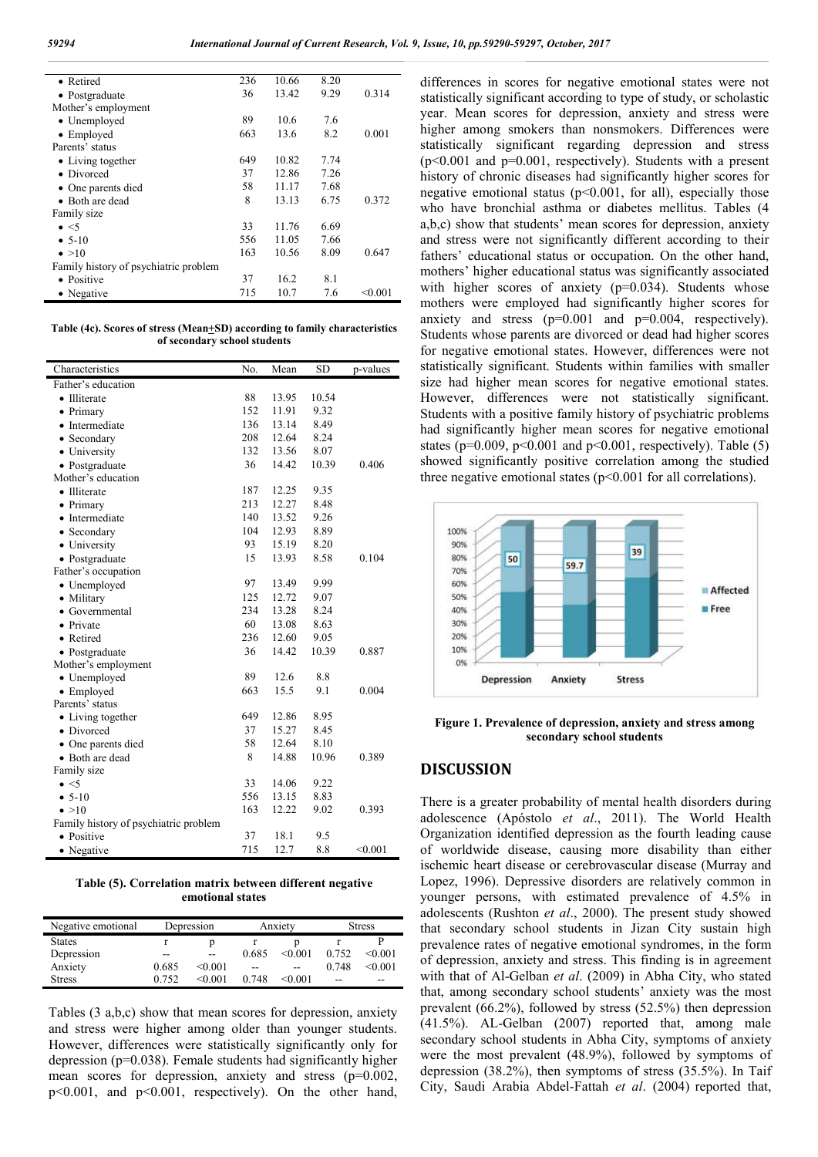| • Retired                             | 236 | 10.66 | 8.20 |         |
|---------------------------------------|-----|-------|------|---------|
| • Postgraduate                        | 36  | 13.42 | 9.29 | 0.314   |
| Mother's employment                   |     |       |      |         |
| • Unemployed                          | 89  | 10.6  | 7.6  |         |
| • Employed                            | 663 | 13.6  | 8.2  | 0.001   |
| Parents' status                       |     |       |      |         |
| • Living together                     | 649 | 10.82 | 7.74 |         |
| • Divorced                            | 37  | 12.86 | 7.26 |         |
| • One parents died                    | 58  | 11.17 | 7.68 |         |
| $\bullet$ Both are dead               | 8   | 13.13 | 6.75 | 0.372   |
| Family size                           |     |       |      |         |
| $\bullet$ <5                          | 33  | 11.76 | 6.69 |         |
| $• 5-10$                              | 556 | 11.05 | 7.66 |         |
| $\bullet > 10$                        | 163 | 10.56 | 8.09 | 0.647   |
| Family history of psychiatric problem |     |       |      |         |
| • Positive                            | 37  | 16.2  | 8.1  |         |
| • Negative                            | 715 | 10.7  | 7.6  | < 0.001 |
|                                       |     |       |      |         |

**Table (4c). Scores of stress (Mean+SD) according to family characteristics of secondary school students**

| Characteristics                       | No. | Mean  | <b>SD</b> | p-values |
|---------------------------------------|-----|-------|-----------|----------|
| Father's education                    |     |       |           |          |
| • Illiterate                          | 88  | 13.95 | 10.54     |          |
| • Primary                             | 152 | 11.91 | 9.32      |          |
| • Intermediate                        | 136 | 13.14 | 8.49      |          |
| • Secondary                           | 208 | 12.64 | 8.24      |          |
| • University                          | 132 | 13.56 | 8.07      |          |
| • Postgraduate                        | 36  | 14.42 | 10.39     | 0.406    |
| Mother's education                    |     |       |           |          |
| • Illiterate                          | 187 | 12.25 | 9.35      |          |
| • Primary                             | 213 | 12.27 | 8.48      |          |
| • Intermediate                        | 140 | 13.52 | 9.26      |          |
| • Secondary                           | 104 | 12.93 | 8.89      |          |
| • University                          | 93  | 15.19 | 8.20      |          |
| • Postgraduate                        | 15  | 13.93 | 8.58      | 0.104    |
| Father's occupation                   |     |       |           |          |
| • Unemployed                          | 97  | 13.49 | 9.99      |          |
| • Military                            | 125 | 12.72 | 9.07      |          |
| • Governmental                        | 234 | 13.28 | 8.24      |          |
| • Private                             | 60  | 13.08 | 8.63      |          |
| • Retired                             | 236 | 12.60 | 9.05      |          |
| • Postgraduate                        | 36  | 14.42 | 10.39     | 0.887    |
| Mother's employment                   |     |       |           |          |
| • Unemployed                          | 89  | 12.6  | 8.8       |          |
| • Employed                            | 663 | 15.5  | 9.1       | 0.004    |
| Parents' status                       |     |       |           |          |
| • Living together                     | 649 | 12.86 | 8.95      |          |
| • Divorced                            | 37  | 15.27 | 8.45      |          |
| • One parents died                    | 58  | 12.64 | 8.10      |          |
| • Both are dead                       | 8   | 14.88 | 10.96     | 0.389    |
| Family size                           |     |       |           |          |
| $\bullet$ <5                          | 33  | 14.06 | 9.22      |          |
| $• 5-10$                              | 556 | 13.15 | 8.83      |          |
| $\bullet > 10$                        | 163 | 12.22 | 9.02      | 0.393    |
| Family history of psychiatric problem |     |       |           |          |
| • Positive                            | 37  | 18.1  | 9.5       |          |
| • Negative                            | 715 | 12.7  | 8.8       | < 0.001  |

**Table (5). Correlation matrix between different negative emotional states**

| Negative emotional | Depression |             | Anxiety |         | <b>Stress</b> |         |
|--------------------|------------|-------------|---------|---------|---------------|---------|
| <b>States</b>      |            |             |         |         |               |         |
| Depression         | --         | --          | 0.685   | < 0.001 | 0.752         | < 0.001 |
| Anxiety            | 0.685      | < 0.001     | --      |         | 0.748         | < 0.001 |
| <b>Stress</b>      | 0.752      | $<$ 0 0 0 1 | 0.748   | < 0.001 | --            | --      |

Tables (3 a,b,c) show that mean scores for depression, anxiety and stress were higher among older than younger students. However, differences were statistically significantly only for depression (p=0.038). Female students had significantly higher mean scores for depression, anxiety and stress (p=0.002, p<0.001, and p<0.001, respectively). On the other hand, differences in scores for negative emotional states were not statistically significant according to type of study, or scholastic year. Mean scores for depression, anxiety and stress were higher among smokers than nonsmokers. Differences were statistically significant regarding depression and stress  $(p<0.001$  and  $p=0.001$ , respectively). Students with a present history of chronic diseases had significantly higher scores for negative emotional status  $(p<0.001$ , for all), especially those who have bronchial asthma or diabetes mellitus. Tables (4 a,b,c) show that students' mean scores for depression, anxiety and stress were not significantly different according to their fathers' educational status or occupation. On the other hand, mothers' higher educational status was significantly associated with higher scores of anxiety (p=0.034). Students whose mothers were employed had significantly higher scores for anxiety and stress  $(p=0.001$  and  $p=0.004$ , respectively). Students whose parents are divorced or dead had higher scores for negative emotional states. However, differences were not statistically significant. Students within families with smaller size had higher mean scores for negative emotional states. However, differences were not statistically significant. Students with a positive family history of psychiatric problems had significantly higher mean scores for negative emotional states ( $p=0.009$ ,  $p<0.001$  and  $p<0.001$ , respectively). Table (5) showed significantly positive correlation among the studied three negative emotional states (p<0.001 for all correlations).



**Figure 1. Prevalence of depression, anxiety and stress among secondary school students**

## **DISCUSSION**

There is a greater probability of mental health disorders during adolescence (Apóstolo *et al*., 2011). The World Health Organization identified depression as the fourth leading cause of worldwide disease, causing more disability than either ischemic heart disease or cerebrovascular disease (Murray and Lopez, 1996). Depressive disorders are relatively common in younger persons, with estimated prevalence of 4.5% in adolescents (Rushton *et al*., 2000). The present study showed that secondary school students in Jizan City sustain high prevalence rates of negative emotional syndromes, in the form of depression, anxiety and stress. This finding is in agreement with that of Al-Gelban *et al*. (2009) in Abha City, who stated that, among secondary school students' anxiety was the most prevalent (66.2%), followed by stress (52.5%) then depression (41.5%). AL-Gelban (2007) reported that, among male secondary school students in Abha City, symptoms of anxiety were the most prevalent (48.9%), followed by symptoms of depression (38.2%), then symptoms of stress (35.5%). In Taif City, Saudi Arabia Abdel-Fattah *et al*. (2004) reported that,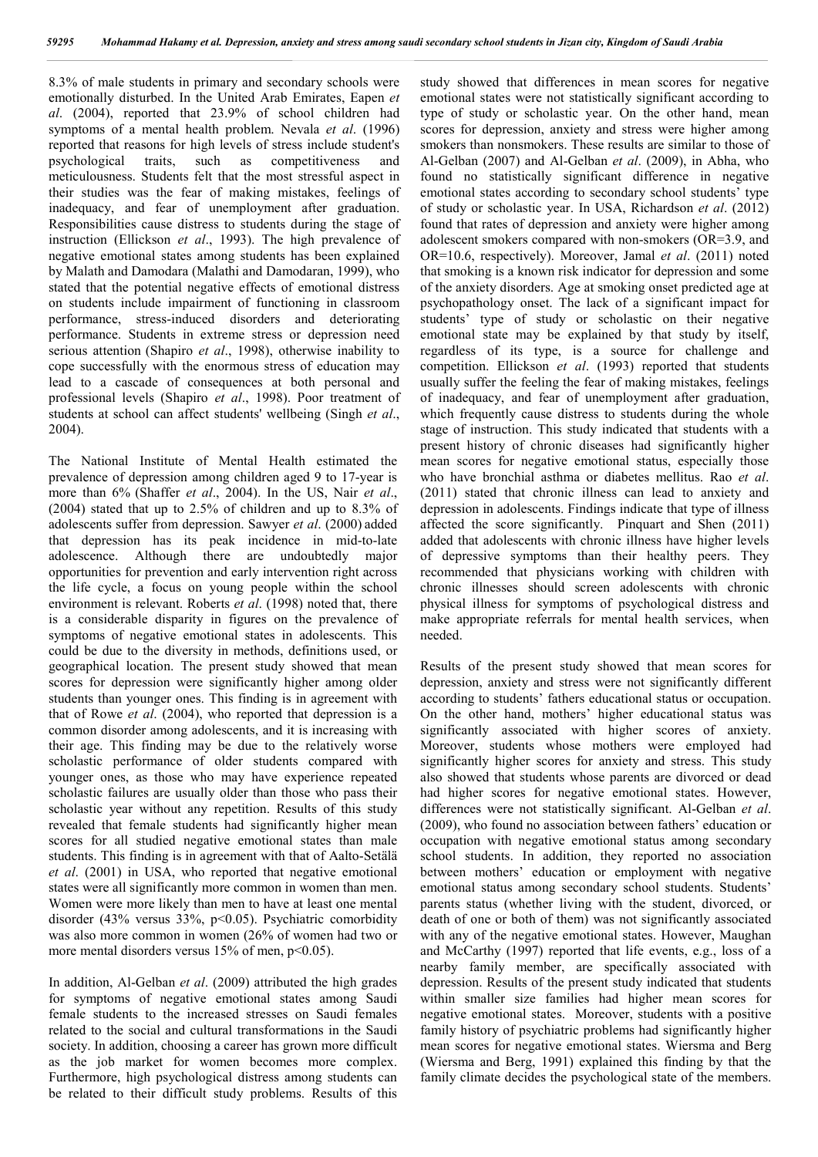8.3% of male students in primary and secondary schools were emotionally disturbed. In the United Arab Emirates, Eapen *et al*. (2004), reported that 23.9% of school children had symptoms of a mental health problem. Nevala *et al*. (1996) reported that reasons for high levels of stress include student's psychological traits, such as competitiveness and meticulousness. Students felt that the most stressful aspect in their studies was the fear of making mistakes, feelings of inadequacy, and fear of unemployment after graduation. Responsibilities cause distress to students during the stage of instruction (Ellickson *et al*., 1993). The high prevalence of negative emotional states among students has been explained by Malath and Damodara (Malathi and Damodaran, 1999), who stated that the potential negative effects of emotional distress on students include impairment of functioning in classroom performance, stress-induced disorders and deteriorating performance. Students in extreme stress or depression need serious attention (Shapiro *et al*., 1998), otherwise inability to cope successfully with the enormous stress of education may lead to a cascade of consequences at both personal and professional levels (Shapiro *et al*., 1998). Poor treatment of students at school can affect students' wellbeing (Singh *et al*., 2004).

The National Institute of Mental Health estimated the prevalence of depression among children aged 9 to 17-year is more than 6% (Shaffer *et al*., 2004). In the US, Nair *et al*., (2004) stated that up to 2.5% of children and up to 8.3% of adolescents suffer from depression. Sawyer *et al*. (2000) added that depression has its peak incidence in mid-to-late adolescence. Although there are undoubtedly major opportunities for prevention and early intervention right across the life cycle, a focus on young people within the school environment is relevant. Roberts *et al*. (1998) noted that, there is a considerable disparity in figures on the prevalence of symptoms of negative emotional states in adolescents. This could be due to the diversity in methods, definitions used, or geographical location. The present study showed that mean scores for depression were significantly higher among older students than younger ones. This finding is in agreement with that of Rowe *et al*. (2004), who reported that depression is a common disorder among adolescents, and it is increasing with their age. This finding may be due to the relatively worse scholastic performance of older students compared with younger ones, as those who may have experience repeated scholastic failures are usually older than those who pass their scholastic year without any repetition. Results of this study revealed that female students had significantly higher mean scores for all studied negative emotional states than male students. This finding is in agreement with that of Aalto-Setälä *et al*. (2001) in USA, who reported that negative emotional states were all significantly more common in women than men. Women were more likely than men to have at least one mental disorder (43% versus 33%, p<0.05). Psychiatric comorbidity was also more common in women (26% of women had two or more mental disorders versus 15% of men, p<0.05).

In addition, Al-Gelban *et al*. (2009) attributed the high grades for symptoms of negative emotional states among Saudi female students to the increased stresses on Saudi females related to the social and cultural transformations in the Saudi society. In addition, choosing a career has grown more difficult as the job market for women becomes more complex. Furthermore, high psychological distress among students can be related to their difficult study problems. Results of this

study showed that differences in mean scores for negative emotional states were not statistically significant according to type of study or scholastic year. On the other hand, mean scores for depression, anxiety and stress were higher among smokers than nonsmokers. These results are similar to those of Al-Gelban (2007) and Al-Gelban *et al*. (2009), in Abha, who found no statistically significant difference in negative emotional states according to secondary school students' type of study or scholastic year. In USA, Richardson *et al*. (2012) found that rates of depression and anxiety were higher among adolescent smokers compared with non-smokers (OR=3.9, and OR=10.6, respectively). Moreover, Jamal *et al*. (2011) noted that smoking is a known risk indicator for depression and some of the anxiety disorders. Age at smoking onset predicted age at psychopathology onset. The lack of a significant impact for students' type of study or scholastic on their negative emotional state may be explained by that study by itself, regardless of its type, is a source for challenge and competition. Ellickson *et al*. (1993) reported that students usually suffer the feeling the fear of making mistakes, feelings of inadequacy, and fear of unemployment after graduation, which frequently cause distress to students during the whole stage of instruction. This study indicated that students with a present history of chronic diseases had significantly higher mean scores for negative emotional status, especially those who have bronchial asthma or diabetes mellitus. Rao *et al*. (2011) stated that chronic illness can lead to anxiety and depression in adolescents. Findings indicate that type of illness affected the score significantly. Pinquart and Shen (2011) added that adolescents with chronic illness have higher levels of depressive symptoms than their healthy peers. They recommended that physicians working with children with chronic illnesses should screen adolescents with chronic physical illness for symptoms of psychological distress and make appropriate referrals for mental health services, when needed.

Results of the present study showed that mean scores for depression, anxiety and stress were not significantly different according to students' fathers educational status or occupation. On the other hand, mothers' higher educational status was significantly associated with higher scores of anxiety. Moreover, students whose mothers were employed had significantly higher scores for anxiety and stress. This study also showed that students whose parents are divorced or dead had higher scores for negative emotional states. However, differences were not statistically significant. Al-Gelban *et al*. (2009), who found no association between fathers' education or occupation with negative emotional status among secondary school students. In addition, they reported no association between mothers' education or employment with negative emotional status among secondary school students. Students' parents status (whether living with the student, divorced, or death of one or both of them) was not significantly associated with any of the negative emotional states. However, Maughan and McCarthy (1997) reported that life events, e.g., loss of a nearby family member, are specifically associated with depression. Results of the present study indicated that students within smaller size families had higher mean scores for negative emotional states. Moreover, students with a positive family history of psychiatric problems had significantly higher mean scores for negative emotional states. Wiersma and Berg (Wiersma and Berg, 1991) explained this finding by that the family climate decides the psychological state of the members.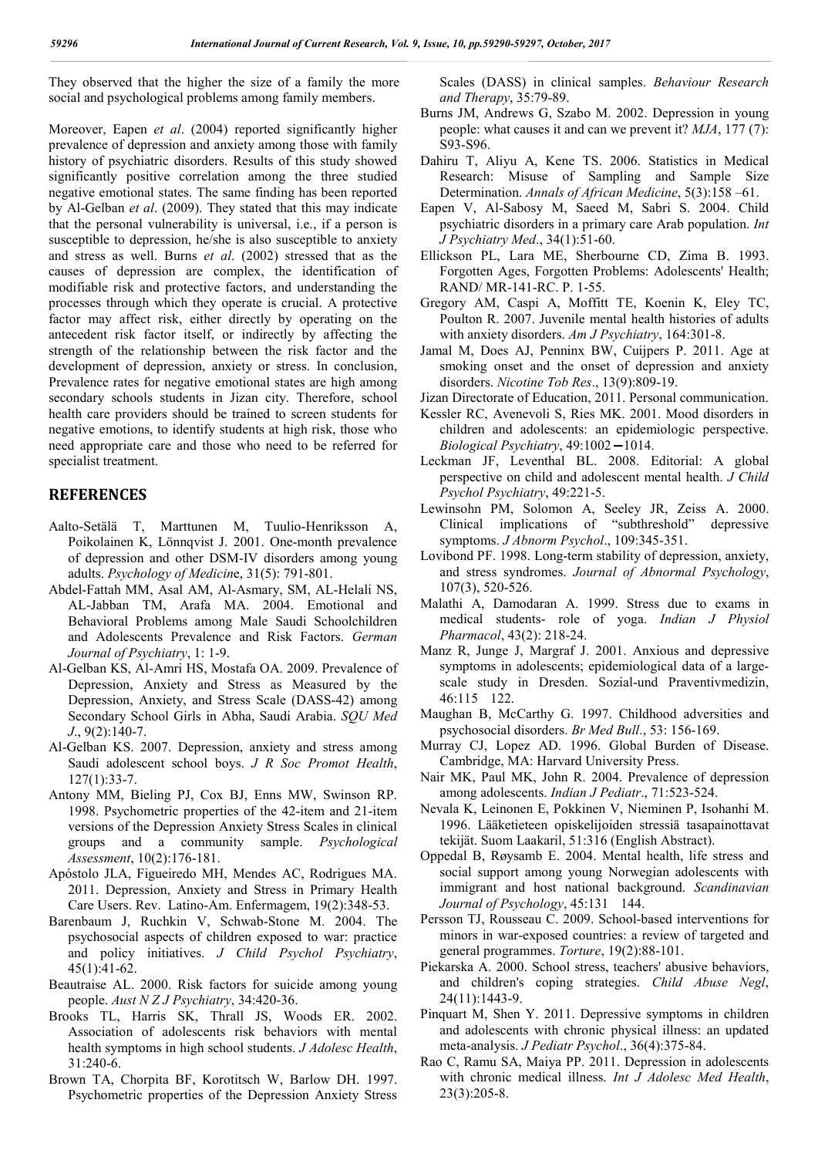They observed that the higher the size of a family the more social and psychological problems among family members.

Moreover, Eapen *et al*. (2004) reported significantly higher prevalence of depression and anxiety among those with family history of psychiatric disorders. Results of this study showed significantly positive correlation among the three studied negative emotional states. The same finding has been reported by Al-Gelban *et al*. (2009). They stated that this may indicate that the personal vulnerability is universal, i.e., if a person is susceptible to depression, he/she is also susceptible to anxiety and stress as well. Burns *et al*. (2002) stressed that as the causes of depression are complex, the identification of modifiable risk and protective factors, and understanding the processes through which they operate is crucial. A protective factor may affect risk, either directly by operating on the antecedent risk factor itself, or indirectly by affecting the strength of the relationship between the risk factor and the development of depression, anxiety or stress. In conclusion, Prevalence rates for negative emotional states are high among secondary schools students in Jizan city. Therefore, school health care providers should be trained to screen students for negative emotions, to identify students at high risk, those who need appropriate care and those who need to be referred for specialist treatment.

## **REFERENCES**

- Aalto-Setälä T, Marttunen M, Tuulio-Henriksson A, Poikolainen K, Lönnqvist J. 2001. One-month prevalence of depression and other DSM-IV disorders among young adults. *Psychology of Medicin*e, 31(5): 791-801.
- Abdel-Fattah MM, Asal AM, Al-Asmary, SM, AL-Helali NS, AL-Jabban TM, Arafa MA. 2004. Emotional and Behavioral Problems among Male Saudi Schoolchildren and Adolescents Prevalence and Risk Factors. *German Journal of Psychiatry*, 1: 1-9.
- Al-Gelban KS, Al-Amri HS, Mostafa OA. 2009. Prevalence of Depression, Anxiety and Stress as Measured by the Depression, Anxiety, and Stress Scale (DASS-42) among Secondary School Girls in Abha, Saudi Arabia. *SQU Med J*., 9(2):140-7.
- Al-Gelban KS. 2007. Depression, anxiety and stress among Saudi adolescent school boys. *J R Soc Promot Health*, 127(1):33-7.
- Antony MM, Bieling PJ, Cox BJ, Enns MW, Swinson RP. 1998. Psychometric properties of the 42-item and 21-item versions of the Depression Anxiety Stress Scales in clinical groups and a community sample. *Psychological Assessment*, 10(2):176-181.
- Apóstolo JLA, Figueiredo MH, Mendes AC, Rodrigues MA. 2011. Depression, Anxiety and Stress in Primary Health Care Users. Rev. Latino-Am. Enfermagem, 19(2):348-53.
- Barenbaum J, Ruchkin V, Schwab-Stone M. 2004. The psychosocial aspects of children exposed to war: practice and policy initiatives. *J Child Psychol Psychiatry*, 45(1):41-62.
- Beautraise AL. 2000. Risk factors for suicide among young people. *Aust N Z J Psychiatry*, 34:420-36.
- Brooks TL, Harris SK, Thrall JS, Woods ER. 2002. Association of adolescents risk behaviors with mental health symptoms in high school students. *J Adolesc Health*,  $31.240-6$ .
- Brown TA, Chorpita BF, Korotitsch W, Barlow DH. 1997. Psychometric properties of the Depression Anxiety Stress

Scales (DASS) in clinical samples. *Behaviour Research and Therapy*, 35:79-89.

- Burns JM, Andrews G, Szabo M. 2002. Depression in young people: what causes it and can we prevent it? *MJA*, 177 (7): S93-S96.
- Dahiru T, Aliyu A, Kene TS. 2006. Statistics in Medical Research: Misuse of Sampling and Sample Size Determination. *Annals of African Medicine*, 5(3):158 –61.
- Eapen V, Al-Sabosy M, Saeed M, Sabri S. 2004. Child psychiatric disorders in a primary care Arab population. *Int J Psychiatry Med*., 34(1):51-60.
- Ellickson PL, Lara ME, Sherbourne CD, Zima B. 1993. Forgotten Ages, Forgotten Problems: Adolescents' Health; RAND/ MR-141-RC. P. 1-55.
- Gregory AM, Caspi A, Moffitt TE, Koenin K, Eley TC, Poulton R. 2007. Juvenile mental health histories of adults with anxiety disorders. *Am J Psychiatry*, 164:301-8.
- Jamal M, Does AJ, Penninx BW, Cuijpers P. 2011. Age at smoking onset and the onset of depression and anxiety disorders. *Nicotine Tob Res*., 13(9):809-19.

Jizan Directorate of Education, 2011. Personal communication.

- Kessler RC, Avenevoli S, Ries MK. 2001. Mood disorders in children and adolescents: an epidemiologic perspective. *Biological Psychiatry*, 49:1002-1014.
- Leckman JF, Leventhal BL. 2008. Editorial: A global perspective on child and adolescent mental health. *J Child Psychol Psychiatry*, 49:221-5.
- Lewinsohn PM, Solomon A, Seeley JR, Zeiss A. 2000. Clinical implications of "subthreshold" depressive symptoms. *J Abnorm Psychol*., 109:345-351.
- Lovibond PF. 1998. Long-term stability of depression, anxiety, and stress syndromes. *Journal of Abnormal Psychology*, 107(3), 520-526.
- Malathi A, Damodaran A. 1999. Stress due to exams in medical students- role of yoga. *Indian J Physiol Pharmacol*, 43(2): 218-24.
- Manz R, Junge J, Margraf J. 2001. Anxious and depressive symptoms in adolescents; epidemiological data of a largescale study in Dresden. Sozial-und Praventivmedizin, 46:115 122.
- Maughan B, McCarthy G. 1997. Childhood adversities and psychosocial disorders. *Br Med Bull*., 53: 156-169.
- Murray CJ, Lopez AD. 1996. Global Burden of Disease. Cambridge, MA: Harvard University Press.
- Nair MK, Paul MK, John R. 2004. Prevalence of depression among adolescents. *Indian J Pediatr*., 71:523-524.
- Nevala K, Leinonen E, Pokkinen V, Nieminen P, Isohanhi M. 1996. Lääketieteen opiskelijoiden stressiä tasapainottavat tekijät. Suom Laakaril, 51:316 (English Abstract).
- Oppedal B, Røysamb E. 2004. Mental health, life stress and social support among young Norwegian adolescents with immigrant and host national background. *Scandinavian Journal of Psychology*, 45:131 144.
- Persson TJ, Rousseau C. 2009. School-based interventions for minors in war-exposed countries: a review of targeted and general programmes. *Torture*, 19(2):88-101.
- Piekarska A. 2000. School stress, teachers' abusive behaviors, and children's coping strategies. *Child Abuse Negl*, 24(11):1443-9.
- Pinquart M, Shen Y. 2011. Depressive symptoms in children and adolescents with chronic physical illness: an updated meta-analysis. *J Pediatr Psychol*., 36(4):375-84.
- Rao C, Ramu SA, Maiya PP. 2011. Depression in adolescents with chronic medical illness. *Int J Adolesc Med Health*, 23(3):205-8.